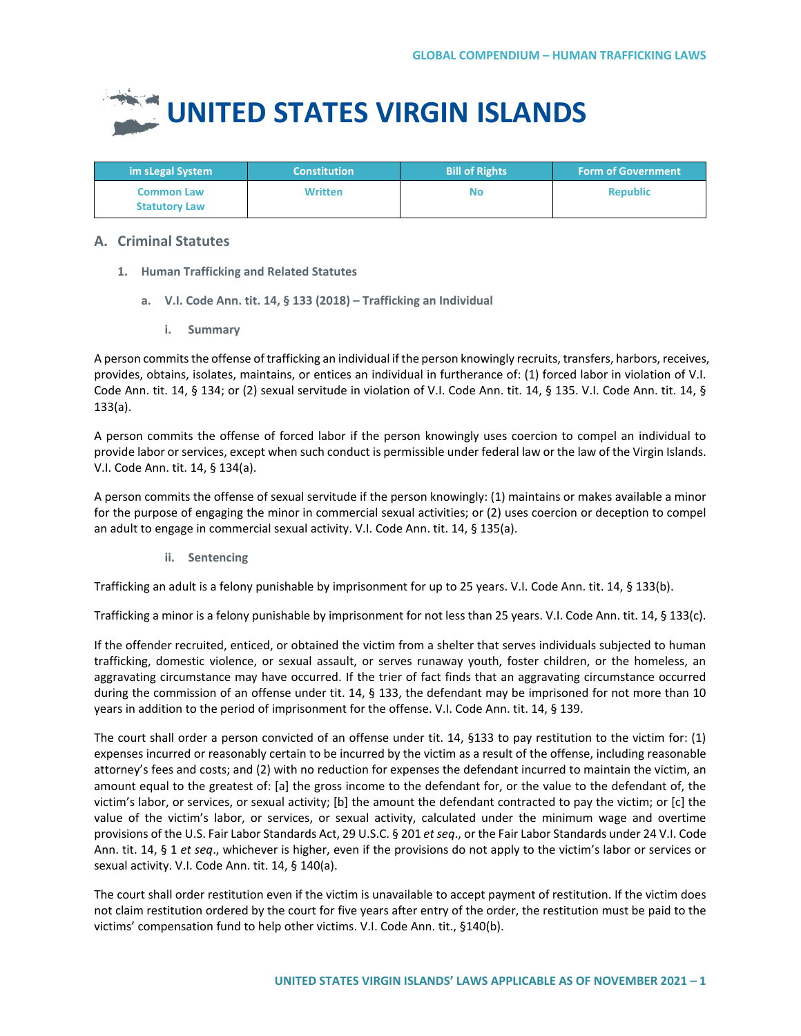## **UNITED STATES VIRGIN ISLANDS**

| im sLegal System                          | <b>Constitution</b> | <b>Bill of Rights</b> | <b>Form of Government</b> |
|-------------------------------------------|---------------------|-----------------------|---------------------------|
| <b>Common Law</b><br><b>Statutory Law</b> | Written             | No                    | <b>Republic</b>           |

## **A. Criminal Statutes**

- **1. Human Trafficking and Related Statutes**
	- **a. V.I. Code Ann. tit. 14, § 133 (2018) – Trafficking an Individual**
		- **i. Summary**

A person commits the offense of trafficking an individual if the person knowingly recruits, transfers, harbors, receives, provides, obtains, isolates, maintains, or entices an individual in furtherance of: (1) forced labor in violation of V.I. Code Ann. tit. 14, § 134; or (2) sexual servitude in violation of V.I. Code Ann. tit. 14, § 135. V.I. Code Ann. tit. 14, § 133(a).

A person commits the offense of forced labor if the person knowingly uses coercion to compel an individual to provide labor or services, except when such conduct is permissible under federal law or the law of the Virgin Islands. V.I. Code Ann. tit. 14, § 134(a).

A person commits the offense of sexual servitude if the person knowingly: (1) maintains or makes available a minor for the purpose of engaging the minor in commercial sexual activities; or (2) uses coercion or deception to compel an adult to engage in commercial sexual activity. V.I. Code Ann. tit. 14, § 135(a).

**ii. Sentencing**

Trafficking an adult is a felony punishable by imprisonment for up to 25 years. V.I. Code Ann. tit. 14, § 133(b).

Trafficking a minor is a felony punishable by imprisonment for not less than 25 years. V.I. Code Ann. tit. 14, § 133(c).

If the offender recruited, enticed, or obtained the victim from a shelter that serves individuals subjected to human trafficking, domestic violence, or sexual assault, or serves runaway youth, foster children, or the homeless, an aggravating circumstance may have occurred. If the trier of fact finds that an aggravating circumstance occurred during the commission of an offense under tit. 14, § 133, the defendant may be imprisoned for not more than 10 years in addition to the period of imprisonment for the offense. V.I. Code Ann. tit. 14, § 139.

The court shall order a person convicted of an offense under tit. 14, §133 to pay restitution to the victim for: (1) expenses incurred or reasonably certain to be incurred by the victim as a result of the offense, including reasonable attorney's fees and costs; and (2) with no reduction for expenses the defendant incurred to maintain the victim, an amount equal to the greatest of: [a] the gross income to the defendant for, or the value to the defendant of, the victim's labor, or services, or sexual activity; [b] the amount the defendant contracted to pay the victim; or [c] the value of the victim's labor, or services, or sexual activity, calculated under the minimum wage and overtime provisions of the U.S. Fair Labor Standards Act, 29 U.S.C. § 201 *et seq*., or the Fair Labor Standards under 24 V.I. Code Ann. tit. 14, § 1 *et seq*., whichever is higher, even if the provisions do not apply to the victim's labor or services or sexual activity. V.I. Code Ann. tit. 14, § 140(a).

The court shall order restitution even if the victim is unavailable to accept payment of restitution. If the victim does not claim restitution ordered by the court for five years after entry of the order, the restitution must be paid to the victims' compensation fund to help other victims. V.I. Code Ann. tit., §140(b).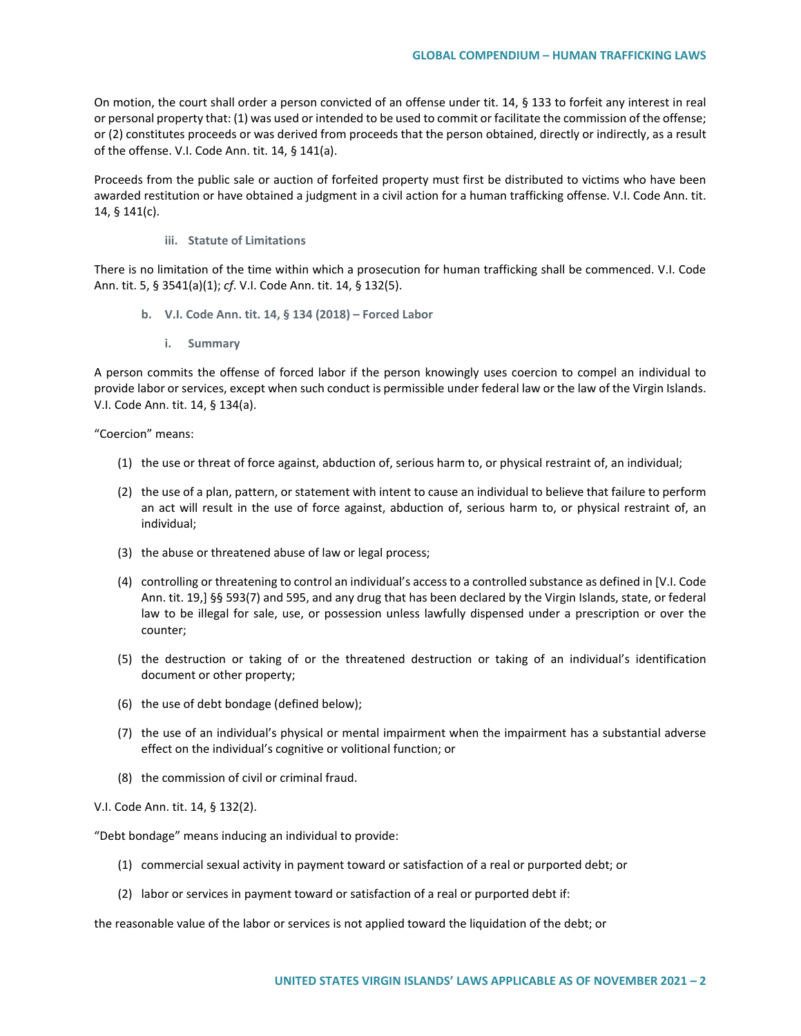On motion, the court shall order a person convicted of an offense under tit. 14, § 133 to forfeit any interest in real or personal property that: (1) was used or intended to be used to commit or facilitate the commission of the offense; or (2) constitutes proceeds or was derived from proceeds that the person obtained, directly or indirectly, as a result of the offense. V.I. Code Ann. tit. 14, § 141(a).

Proceeds from the public sale or auction of forfeited property must first be distributed to victims who have been awarded restitution or have obtained a judgment in a civil action for a human trafficking offense. V.I. Code Ann. tit. 14, § 141(c).

## **iii. Statute of Limitations**

There is no limitation of the time within which a prosecution for human trafficking shall be commenced. V.I. Code Ann. tit. 5, § 3541(a)(1); *cf*. V.I. Code Ann. tit. 14, § 132(5).

- **b. V.I. Code Ann. tit. 14, § 134 (2018) – Forced Labor**
	- **i. Summary**

A person commits the offense of forced labor if the person knowingly uses coercion to compel an individual to provide labor or services, except when such conduct is permissible under federal law or the law of the Virgin Islands. V.I. Code Ann. tit. 14, § 134(a).

"Coercion" means:

- (1) the use or threat of force against, abduction of, serious harm to, or physical restraint of, an individual;
- (2) the use of a plan, pattern, or statement with intent to cause an individual to believe that failure to perform an act will result in the use of force against, abduction of, serious harm to, or physical restraint of, an individual;
- (3) the abuse or threatened abuse of law or legal process;
- (4) controlling or threatening to control an individual's access to a controlled substance as defined in [V.I. Code Ann. tit. 19,] §§ 593(7) and 595, and any drug that has been declared by the Virgin Islands, state, or federal law to be illegal for sale, use, or possession unless lawfully dispensed under a prescription or over the counter;
- (5) the destruction or taking of or the threatened destruction or taking of an individual's identification document or other property;
- (6) the use of debt bondage (defined below);
- (7) the use of an individual's physical or mental impairment when the impairment has a substantial adverse effect on the individual's cognitive or volitional function; or
- (8) the commission of civil or criminal fraud.

V.I. Code Ann. tit. 14, § 132(2).

"Debt bondage" means inducing an individual to provide:

- (1) commercial sexual activity in payment toward or satisfaction of a real or purported debt; or
- (2) labor or services in payment toward or satisfaction of a real or purported debt if:

the reasonable value of the labor or services is not applied toward the liquidation of the debt; or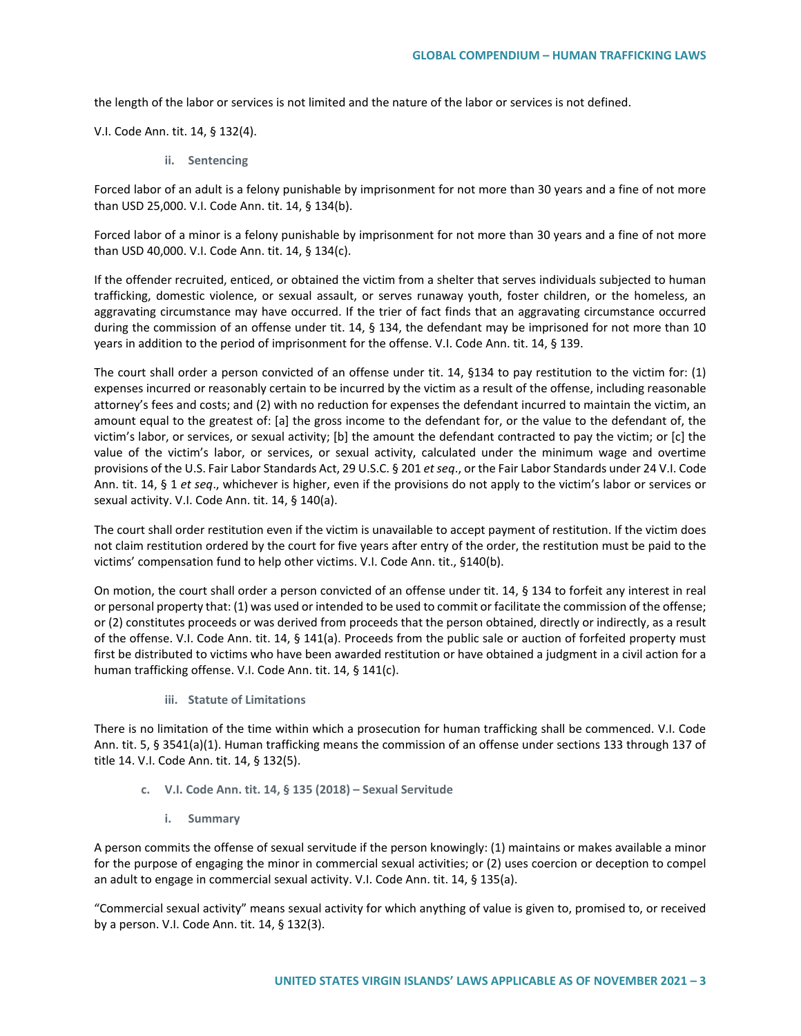the length of the labor or services is not limited and the nature of the labor or services is not defined.

V.I. Code Ann. tit. 14, § 132(4).

**ii. Sentencing**

Forced labor of an adult is a felony punishable by imprisonment for not more than 30 years and a fine of not more than USD 25,000. V.I. Code Ann. tit. 14, § 134(b).

Forced labor of a minor is a felony punishable by imprisonment for not more than 30 years and a fine of not more than USD 40,000. V.I. Code Ann. tit. 14, § 134(c).

If the offender recruited, enticed, or obtained the victim from a shelter that serves individuals subjected to human trafficking, domestic violence, or sexual assault, or serves runaway youth, foster children, or the homeless, an aggravating circumstance may have occurred. If the trier of fact finds that an aggravating circumstance occurred during the commission of an offense under tit. 14, § 134, the defendant may be imprisoned for not more than 10 years in addition to the period of imprisonment for the offense. V.I. Code Ann. tit. 14, § 139.

The court shall order a person convicted of an offense under tit. 14, §134 to pay restitution to the victim for: (1) expenses incurred or reasonably certain to be incurred by the victim as a result of the offense, including reasonable attorney's fees and costs; and (2) with no reduction for expenses the defendant incurred to maintain the victim, an amount equal to the greatest of: [a] the gross income to the defendant for, or the value to the defendant of, the victim's labor, or services, or sexual activity; [b] the amount the defendant contracted to pay the victim; or [c] the value of the victim's labor, or services, or sexual activity, calculated under the minimum wage and overtime provisions of the U.S. Fair Labor Standards Act, 29 U.S.C. § 201 *et seq*., or the Fair Labor Standards under 24 V.I. Code Ann. tit. 14, § 1 *et seq*., whichever is higher, even if the provisions do not apply to the victim's labor or services or sexual activity. V.I. Code Ann. tit. 14, § 140(a).

The court shall order restitution even if the victim is unavailable to accept payment of restitution. If the victim does not claim restitution ordered by the court for five years after entry of the order, the restitution must be paid to the victims' compensation fund to help other victims. V.I. Code Ann. tit., §140(b).

On motion, the court shall order a person convicted of an offense under tit. 14, § 134 to forfeit any interest in real or personal property that: (1) was used or intended to be used to commit or facilitate the commission of the offense; or (2) constitutes proceeds or was derived from proceeds that the person obtained, directly or indirectly, as a result of the offense. V.I. Code Ann. tit. 14, § 141(a). Proceeds from the public sale or auction of forfeited property must first be distributed to victims who have been awarded restitution or have obtained a judgment in a civil action for a human trafficking offense. V.I. Code Ann. tit. 14, § 141(c).

**iii. Statute of Limitations**

There is no limitation of the time within which a prosecution for human trafficking shall be commenced. V.I. Code Ann. tit. 5, § 3541(a)(1). Human trafficking means the commission of an offense under sections 133 through 137 of title 14. V.I. Code Ann. tit. 14, § 132(5).

- **c. V.I. Code Ann. tit. 14, § 135 (2018) – Sexual Servitude**
	- **i. Summary**

A person commits the offense of sexual servitude if the person knowingly: (1) maintains or makes available a minor for the purpose of engaging the minor in commercial sexual activities; or (2) uses coercion or deception to compel an adult to engage in commercial sexual activity. V.I. Code Ann. tit. 14, § 135(a).

"Commercial sexual activity" means sexual activity for which anything of value is given to, promised to, or received by a person. V.I. Code Ann. tit. 14, § 132(3).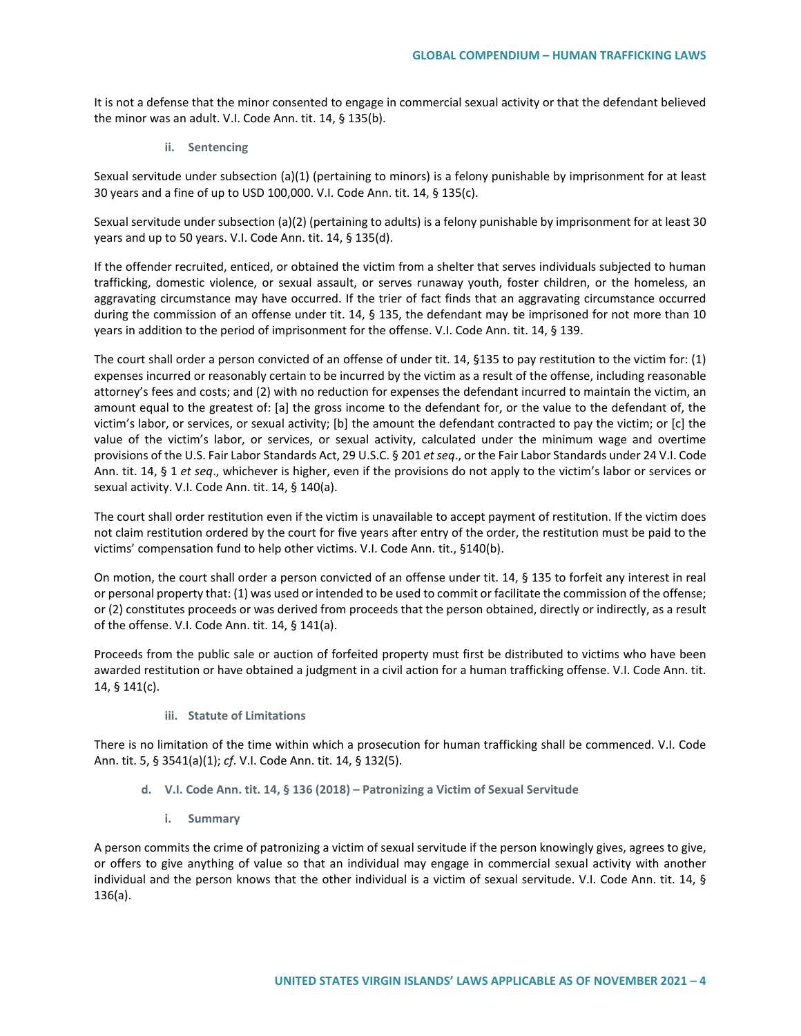It is not a defense that the minor consented to engage in commercial sexual activity or that the defendant believed the minor was an adult. V.I. Code Ann. tit. 14, § 135(b).

**ii. Sentencing**

Sexual servitude under subsection (a)(1) (pertaining to minors) is a felony punishable by imprisonment for at least 30 years and a fine of up to USD 100,000. V.I. Code Ann. tit. 14, § 135(c).

Sexual servitude under subsection (a)(2) (pertaining to adults) is a felony punishable by imprisonment for at least 30 years and up to 50 years. V.I. Code Ann. tit. 14, § 135(d).

If the offender recruited, enticed, or obtained the victim from a shelter that serves individuals subjected to human trafficking, domestic violence, or sexual assault, or serves runaway youth, foster children, or the homeless, an aggravating circumstance may have occurred. If the trier of fact finds that an aggravating circumstance occurred during the commission of an offense under tit. 14, § 135, the defendant may be imprisoned for not more than 10 years in addition to the period of imprisonment for the offense. V.I. Code Ann. tit. 14, § 139.

The court shall order a person convicted of an offense of under tit. 14, §135 to pay restitution to the victim for: (1) expenses incurred or reasonably certain to be incurred by the victim as a result of the offense, including reasonable attorney's fees and costs; and (2) with no reduction for expenses the defendant incurred to maintain the victim, an amount equal to the greatest of: [a] the gross income to the defendant for, or the value to the defendant of, the victim's labor, or services, or sexual activity; [b] the amount the defendant contracted to pay the victim; or [c] the value of the victim's labor, or services, or sexual activity, calculated under the minimum wage and overtime provisions of the U.S. Fair Labor Standards Act, 29 U.S.C. § 201 *et seq*., or the Fair Labor Standards under 24 V.I. Code Ann. tit. 14, § 1 *et seq*., whichever is higher, even if the provisions do not apply to the victim's labor or services or sexual activity. V.I. Code Ann. tit. 14, § 140(a).

The court shall order restitution even if the victim is unavailable to accept payment of restitution. If the victim does not claim restitution ordered by the court for five years after entry of the order, the restitution must be paid to the victims' compensation fund to help other victims. V.I. Code Ann. tit., §140(b).

On motion, the court shall order a person convicted of an offense under tit. 14, § 135 to forfeit any interest in real or personal property that: (1) was used or intended to be used to commit or facilitate the commission of the offense; or (2) constitutes proceeds or was derived from proceeds that the person obtained, directly or indirectly, as a result of the offense. V.I. Code Ann. tit. 14, § 141(a).

Proceeds from the public sale or auction of forfeited property must first be distributed to victims who have been awarded restitution or have obtained a judgment in a civil action for a human trafficking offense. V.I. Code Ann. tit. 14, § 141(c).

**iii. Statute of Limitations**

There is no limitation of the time within which a prosecution for human trafficking shall be commenced. V.I. Code Ann. tit. 5, § 3541(a)(1); *cf*. V.I. Code Ann. tit. 14, § 132(5).

- **d. V.I. Code Ann. tit. 14, § 136 (2018) – Patronizing a Victim of Sexual Servitude** 
	- **i. Summary**

A person commits the crime of patronizing a victim of sexual servitude if the person knowingly gives, agrees to give, or offers to give anything of value so that an individual may engage in commercial sexual activity with another individual and the person knows that the other individual is a victim of sexual servitude. V.I. Code Ann. tit. 14, § 136(a).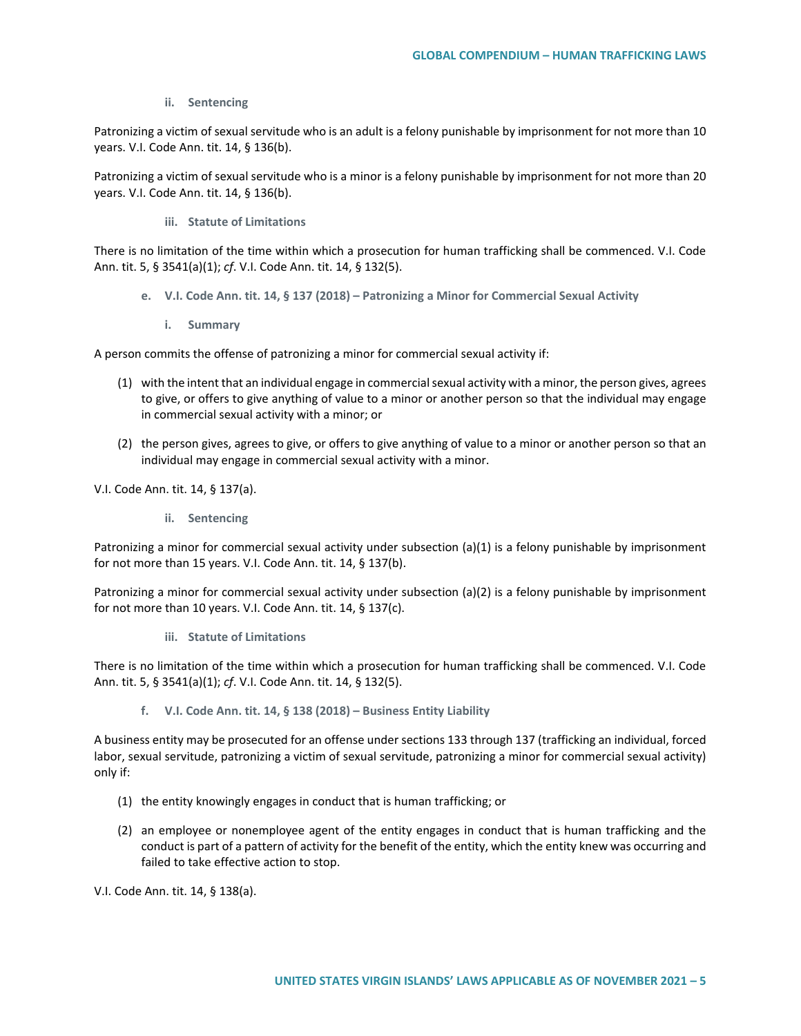**ii. Sentencing**

Patronizing a victim of sexual servitude who is an adult is a felony punishable by imprisonment for not more than 10 years. V.I. Code Ann. tit. 14, § 136(b).

Patronizing a victim of sexual servitude who is a minor is a felony punishable by imprisonment for not more than 20 years. V.I. Code Ann. tit. 14, § 136(b).

**iii. Statute of Limitations**

There is no limitation of the time within which a prosecution for human trafficking shall be commenced. V.I. Code Ann. tit. 5, § 3541(a)(1); *cf*. V.I. Code Ann. tit. 14, § 132(5).

- **e. V.I. Code Ann. tit. 14, § 137 (2018) – Patronizing a Minor for Commercial Sexual Activity**
	- **i. Summary**

A person commits the offense of patronizing a minor for commercial sexual activity if:

- (1) with the intent that an individual engage in commercial sexual activity with a minor, the person gives, agrees to give, or offers to give anything of value to a minor or another person so that the individual may engage in commercial sexual activity with a minor; or
- (2) the person gives, agrees to give, or offers to give anything of value to a minor or another person so that an individual may engage in commercial sexual activity with a minor.

V.I. Code Ann. tit. 14, § 137(a).

**ii. Sentencing**

Patronizing a minor for commercial sexual activity under subsection (a)(1) is a felony punishable by imprisonment for not more than 15 years. V.I. Code Ann. tit. 14, § 137(b).

Patronizing a minor for commercial sexual activity under subsection (a)(2) is a felony punishable by imprisonment for not more than 10 years. V.I. Code Ann. tit. 14, § 137(c).

**iii. Statute of Limitations**

There is no limitation of the time within which a prosecution for human trafficking shall be commenced. V.I. Code Ann. tit. 5, § 3541(a)(1); *cf*. V.I. Code Ann. tit. 14, § 132(5).

**f. V.I. Code Ann. tit. 14, § 138 (2018) – Business Entity Liability** 

A business entity may be prosecuted for an offense under sections 133 through 137 (trafficking an individual, forced labor, sexual servitude, patronizing a victim of sexual servitude, patronizing a minor for commercial sexual activity) only if:

- (1) the entity knowingly engages in conduct that is human trafficking; or
- (2) an employee or nonemployee agent of the entity engages in conduct that is human trafficking and the conduct is part of a pattern of activity for the benefit of the entity, which the entity knew was occurring and failed to take effective action to stop.

V.I. Code Ann. tit. 14, § 138(a).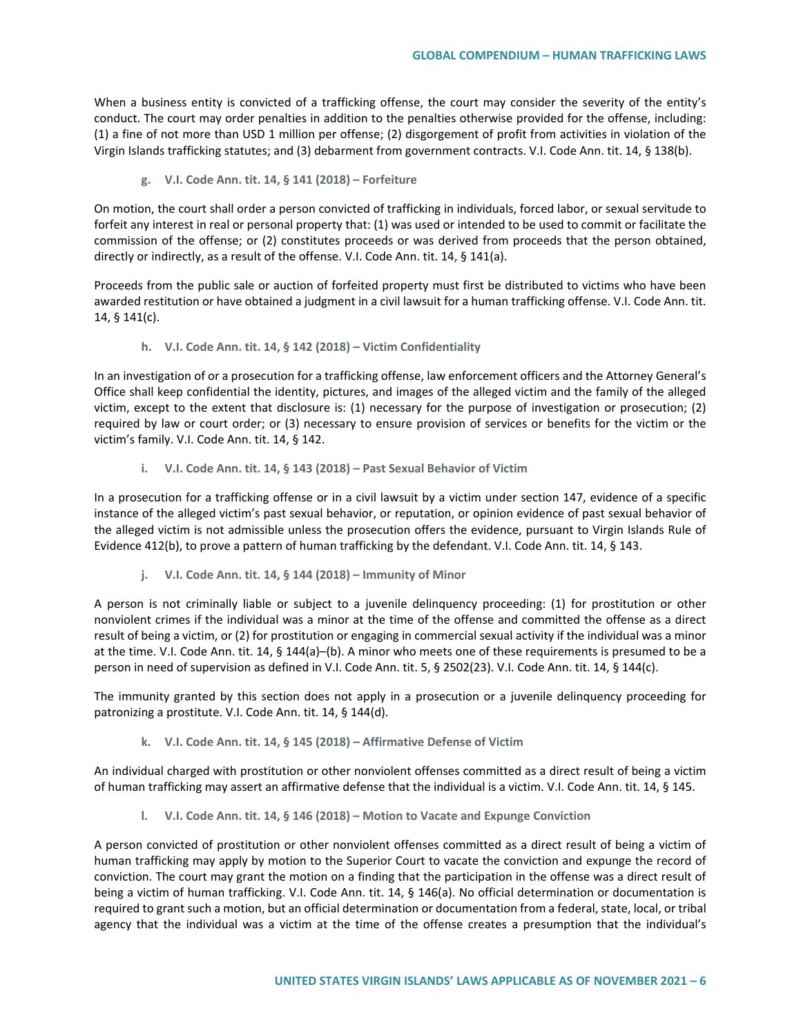When a business entity is convicted of a trafficking offense, the court may consider the severity of the entity's conduct. The court may order penalties in addition to the penalties otherwise provided for the offense, including: (1) a fine of not more than USD 1 million per offense; (2) disgorgement of profit from activities in violation of the Virgin Islands trafficking statutes; and (3) debarment from government contracts. V.I. Code Ann. tit. 14, § 138(b).

**g. V.I. Code Ann. tit. 14, § 141 (2018) – Forfeiture** 

On motion, the court shall order a person convicted of trafficking in individuals, forced labor, or sexual servitude to forfeit any interest in real or personal property that: (1) was used or intended to be used to commit or facilitate the commission of the offense; or (2) constitutes proceeds or was derived from proceeds that the person obtained, directly or indirectly, as a result of the offense. V.I. Code Ann. tit. 14, § 141(a).

Proceeds from the public sale or auction of forfeited property must first be distributed to victims who have been awarded restitution or have obtained a judgment in a civil lawsuit for a human trafficking offense. V.I. Code Ann. tit. 14, § 141(c).

**h. V.I. Code Ann. tit. 14, § 142 (2018) – Victim Confidentiality**

In an investigation of or a prosecution for a trafficking offense, law enforcement officers and the Attorney General's Office shall keep confidential the identity, pictures, and images of the alleged victim and the family of the alleged victim, except to the extent that disclosure is: (1) necessary for the purpose of investigation or prosecution; (2) required by law or court order; or (3) necessary to ensure provision of services or benefits for the victim or the victim's family. V.I. Code Ann. tit. 14, § 142.

**i. V.I. Code Ann. tit. 14, § 143 (2018) – Past Sexual Behavior of Victim**

In a prosecution for a trafficking offense or in a civil lawsuit by a victim under section 147, evidence of a specific instance of the alleged victim's past sexual behavior, or reputation, or opinion evidence of past sexual behavior of the alleged victim is not admissible unless the prosecution offers the evidence, pursuant to Virgin Islands Rule of Evidence 412(b), to prove a pattern of human trafficking by the defendant. V.I. Code Ann. tit. 14, § 143.

**j. V.I. Code Ann. tit. 14, § 144 (2018) – Immunity of Minor**

A person is not criminally liable or subject to a juvenile delinquency proceeding: (1) for prostitution or other nonviolent crimes if the individual was a minor at the time of the offense and committed the offense as a direct result of being a victim, or (2) for prostitution or engaging in commercial sexual activity if the individual was a minor at the time. V.I. Code Ann. tit. 14, § 144(a)–(b). A minor who meets one of these requirements is presumed to be a person in need of supervision as defined in V.I. Code Ann. tit. 5, § 2502(23). V.I. Code Ann. tit. 14, § 144(c).

The immunity granted by this section does not apply in a prosecution or a juvenile delinquency proceeding for patronizing a prostitute. V.I. Code Ann. tit. 14, § 144(d).

**k. V.I. Code Ann. tit. 14, § 145 (2018) – Affirmative Defense of Victim**

An individual charged with prostitution or other nonviolent offenses committed as a direct result of being a victim of human trafficking may assert an affirmative defense that the individual is a victim. V.I. Code Ann. tit. 14, § 145.

**l. V.I. Code Ann. tit. 14, § 146 (2018) – Motion to Vacate and Expunge Conviction**

A person convicted of prostitution or other nonviolent offenses committed as a direct result of being a victim of human trafficking may apply by motion to the Superior Court to vacate the conviction and expunge the record of conviction. The court may grant the motion on a finding that the participation in the offense was a direct result of being a victim of human trafficking. V.I. Code Ann. tit. 14, § 146(a). No official determination or documentation is required to grant such a motion, but an official determination or documentation from a federal, state, local, or tribal agency that the individual was a victim at the time of the offense creates a presumption that the individual's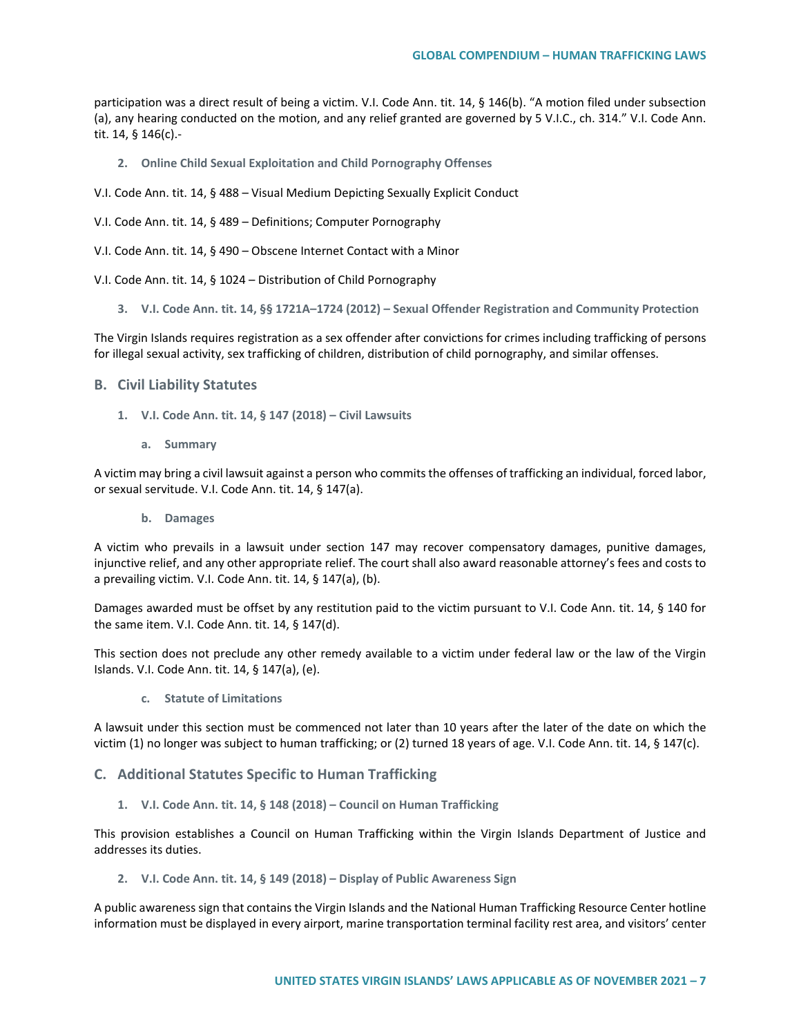participation was a direct result of being a victim. V.I. Code Ann. tit. 14, § 146(b). "A motion filed under subsection (a), any hearing conducted on the motion, and any relief granted are governed by 5 V.I.C., ch. 314." V.I. Code Ann. tit. 14, § 146(c).-

- **2. Online Child Sexual Exploitation and Child Pornography Offenses**
- V.I. Code Ann. tit. 14, § 488 Visual Medium Depicting Sexually Explicit Conduct
- V.I. Code Ann. tit. 14, § 489 Definitions; Computer Pornography
- V.I. Code Ann. tit. 14, § 490 Obscene Internet Contact with a Minor
- V.I. Code Ann. tit. 14, § 1024 Distribution of Child Pornography
	- **3. V.I. Code Ann. tit. 14, §§ 1721A–1724 (2012) – Sexual Offender Registration and Community Protection**

The Virgin Islands requires registration as a sex offender after convictions for crimes including trafficking of persons for illegal sexual activity, sex trafficking of children, distribution of child pornography, and similar offenses.

## **B. Civil Liability Statutes**

- **1. V.I. Code Ann. tit. 14, § 147 (2018) – Civil Lawsuits**
	- **a. Summary**

A victim may bring a civil lawsuit against a person who commits the offenses of trafficking an individual, forced labor, or sexual servitude. V.I. Code Ann. tit. 14, § 147(a).

**b. Damages**

A victim who prevails in a lawsuit under section 147 may recover compensatory damages, punitive damages, injunctive relief, and any other appropriate relief. The court shall also award reasonable attorney's fees and costs to a prevailing victim. V.I. Code Ann. tit. 14, § 147(a), (b).

Damages awarded must be offset by any restitution paid to the victim pursuant to V.I. Code Ann. tit. 14, § 140 for the same item. V.I. Code Ann. tit. 14, § 147(d).

This section does not preclude any other remedy available to a victim under federal law or the law of the Virgin Islands. V.I. Code Ann. tit. 14, § 147(a), (e).

**c. Statute of Limitations**

A lawsuit under this section must be commenced not later than 10 years after the later of the date on which the victim (1) no longer was subject to human trafficking; or (2) turned 18 years of age. V.I. Code Ann. tit. 14, § 147(c).

**C. Additional Statutes Specific to Human Trafficking**

**1. V.I. Code Ann. tit. 14, § 148 (2018) – Council on Human Trafficking** 

This provision establishes a Council on Human Trafficking within the Virgin Islands Department of Justice and addresses its duties.

**2. V.I. Code Ann. tit. 14, § 149 (2018) – Display of Public Awareness Sign** 

A public awareness sign that contains the Virgin Islands and the National Human Trafficking Resource Center hotline information must be displayed in every airport, marine transportation terminal facility rest area, and visitors' center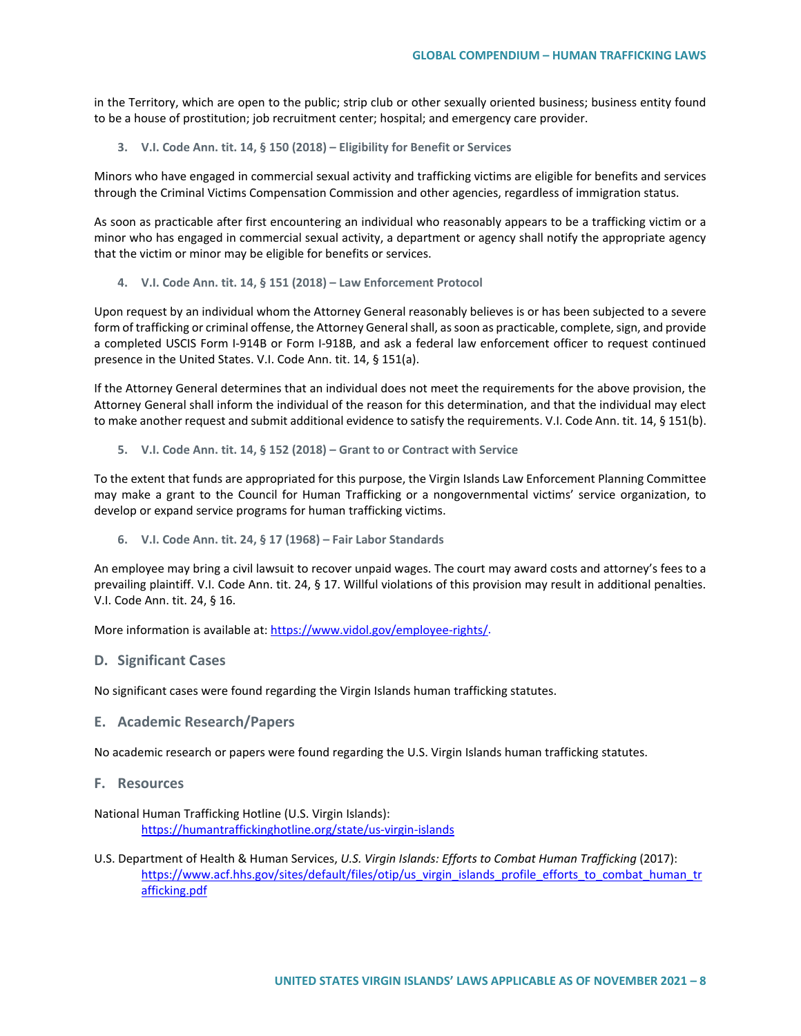in the Territory, which are open to the public; strip club or other sexually oriented business; business entity found to be a house of prostitution; job recruitment center; hospital; and emergency care provider.

**3. V.I. Code Ann. tit. 14, § 150 (2018) – Eligibility for Benefit or Services** 

Minors who have engaged in commercial sexual activity and trafficking victims are eligible for benefits and services through the Criminal Victims Compensation Commission and other agencies, regardless of immigration status.

As soon as practicable after first encountering an individual who reasonably appears to be a trafficking victim or a minor who has engaged in commercial sexual activity, a department or agency shall notify the appropriate agency that the victim or minor may be eligible for benefits or services.

**4. V.I. Code Ann. tit. 14, § 151 (2018) – Law Enforcement Protocol** 

Upon request by an individual whom the Attorney General reasonably believes is or has been subjected to a severe form of trafficking or criminal offense, the Attorney General shall, as soon as practicable, complete, sign, and provide a completed USCIS Form I-914B or Form I-918B, and ask a federal law enforcement officer to request continued presence in the United States. V.I. Code Ann. tit. 14, § 151(a).

If the Attorney General determines that an individual does not meet the requirements for the above provision, the Attorney General shall inform the individual of the reason for this determination, and that the individual may elect to make another request and submit additional evidence to satisfy the requirements. V.I. Code Ann. tit. 14, § 151(b).

**5. V.I. Code Ann. tit. 14, § 152 (2018) – Grant to or Contract with Service**

To the extent that funds are appropriated for this purpose, the Virgin Islands Law Enforcement Planning Committee may make a grant to the Council for Human Trafficking or a nongovernmental victims' service organization, to develop or expand service programs for human trafficking victims.

**6. V.I. Code Ann. tit. 24, § 17 (1968) – Fair Labor Standards** 

An employee may bring a civil lawsuit to recover unpaid wages. The court may award costs and attorney's fees to a prevailing plaintiff. V.I. Code Ann. tit. 24, § 17. Willful violations of this provision may result in additional penalties. V.I. Code Ann. tit. 24, § 16.

More information is available at: [https://www.vidol.gov/employee-rights/.](https://www.vidol.gov/employee-rights/)

**D. Significant Cases**

No significant cases were found regarding the Virgin Islands human trafficking statutes.

**E. Academic Research/Papers**

No academic research or papers were found regarding the U.S. Virgin Islands human trafficking statutes.

**F. Resources**

National Human Trafficking Hotline (U.S. Virgin Islands): <https://humantraffickinghotline.org/state/us-virgin-islands>

U.S. Department of Health & Human Services, *U.S. Virgin Islands: Efforts to Combat Human Trafficking* (2017): [https://www.acf.hhs.gov/sites/default/files/otip/us\\_virgin\\_islands\\_profile\\_efforts\\_to\\_combat\\_human\\_tr](https://www.acf.hhs.gov/sites/default/files/otip/us_virgin_islands_profile_efforts_to_combat_human_trafficking.pdf) [afficking.pdf](https://www.acf.hhs.gov/sites/default/files/otip/us_virgin_islands_profile_efforts_to_combat_human_trafficking.pdf)